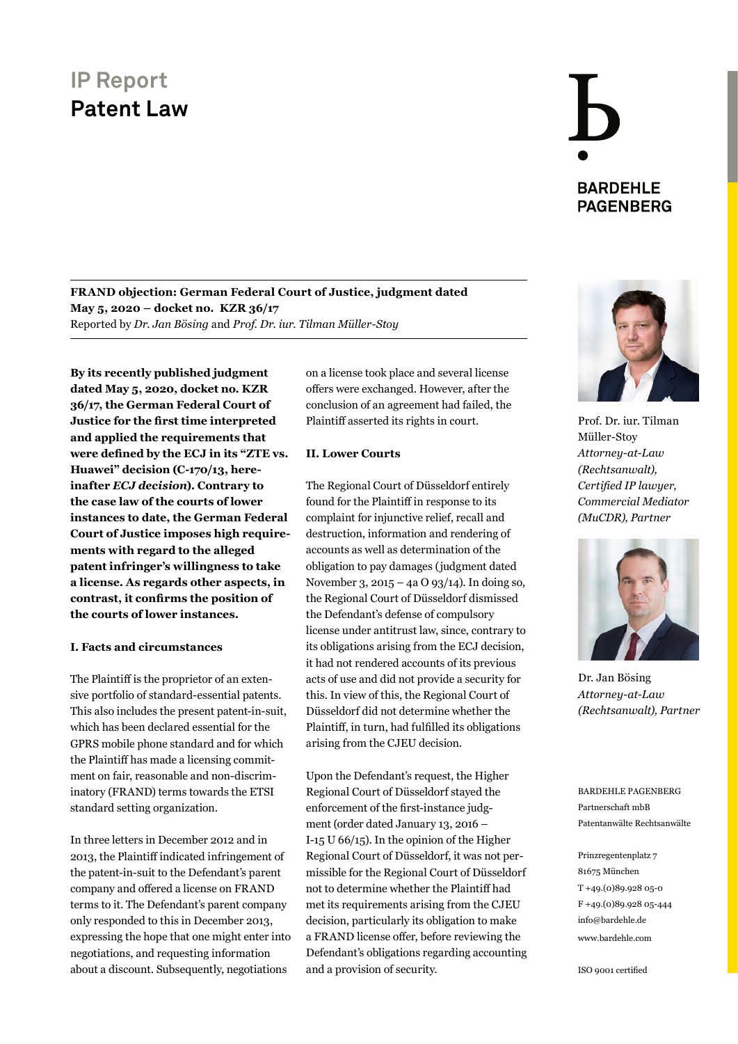## **BARDEHLE PAGENBERG**

**FRAND objection: German Federal Court of Justice, judgment dated May 5, 2020 – docket no. KZR 36/17** Reported by *Dr. Jan Bösing* and *Prof. Dr. iur. Tilman Müller-Stoy*

**By its recently published judgment dated May 5, 2020, docket no. KZR 36/17, the German Federal Court of Justice for the first time interpreted and applied the requirements that were defined by the ECJ in its "ZTE vs. Huawei" decision (C-170/13, hereinafter** *ECJ decision***). Contrary to the case law of the courts of lower instances to date, the German Federal Court of Justice imposes high requirements with regard to the alleged patent infringer's willingness to take a license. As regards other aspects, in contrast, it confirms the position of the courts of lower instances.**

#### **I. Facts and circumstances**

The Plaintiff is the proprietor of an extensive portfolio of standard-essential patents. This also includes the present patent-in-suit, which has been declared essential for the GPRS mobile phone standard and for which the Plaintiff has made a licensing commitment on fair, reasonable and non-discriminatory (FRAND) terms towards the ETSI standard setting organization.

In three letters in December 2012 and in 2013, the Plaintiff indicated infringement of the patent-in-suit to the Defendant's parent company and offered a license on FRAND terms to it. The Defendant's parent company only responded to this in December 2013, expressing the hope that one might enter into negotiations, and requesting information about a discount. Subsequently, negotiations

on a license took place and several license offers were exchanged. However, after the conclusion of an agreement had failed, the Plaintiff asserted its rights in court.

#### **II. Lower Courts**

The Regional Court of Düsseldorf entirely found for the Plaintiff in response to its complaint for injunctive relief, recall and destruction, information and rendering of accounts as well as determination of the obligation to pay damages (judgment dated November 3, 2015 – 4a O 93/14). In doing so, the Regional Court of Düsseldorf dismissed the Defendant's defense of compulsory license under antitrust law, since, contrary to its obligations arising from the ECJ decision, it had not rendered accounts of its previous acts of use and did not provide a security for this. In view of this, the Regional Court of Düsseldorf did not determine whether the Plaintiff, in turn, had fulfilled its obligations arising from the CJEU decision.

Upon the Defendant's request, the Higher Regional Court of Düsseldorf stayed the enforcement of the first-instance judgment (order dated January 13, 2016 – I-15 U 66/15). In the opinion of the Higher Regional Court of Düsseldorf, it was not permissible for the Regional Court of Düsseldorf not to determine whether the Plaintiff had met its requirements arising from the CJEU decision, particularly its obligation to make a FRAND license offer, before reviewing the Defendant's obligations regarding accounting and a provision of security.



Prof. Dr. iur. Tilman Müller-Stoy *Attorney-at-Law (Rechtsanwalt), Certified IP lawyer, [Commercial Mediator](https://www.bardehle.com/team/detail/mueller-stoy-tilman.html)  (MuCDR), Partner*



Dr. Jan Bösing *Attorney-at-Law [\(Rechtsanwalt\), Partner](https://www.bardehle.com/team/detail/boesing-jan.html)*

BARDEHLE PAGENBERG Partnerschaft mbB [Patentanwälte Rechtsanwälte](https://www.bardehle.com/)

Prinzregentenplatz 7 81675 München T +49.(0)89.928 05-0 F +49.(0)89.928 05-444 [info@bardehle.de](mailto:info%40bardehle.de?subject=) [www.bardehle.com](https://www.bardehle.com/)

ISO 9001 certified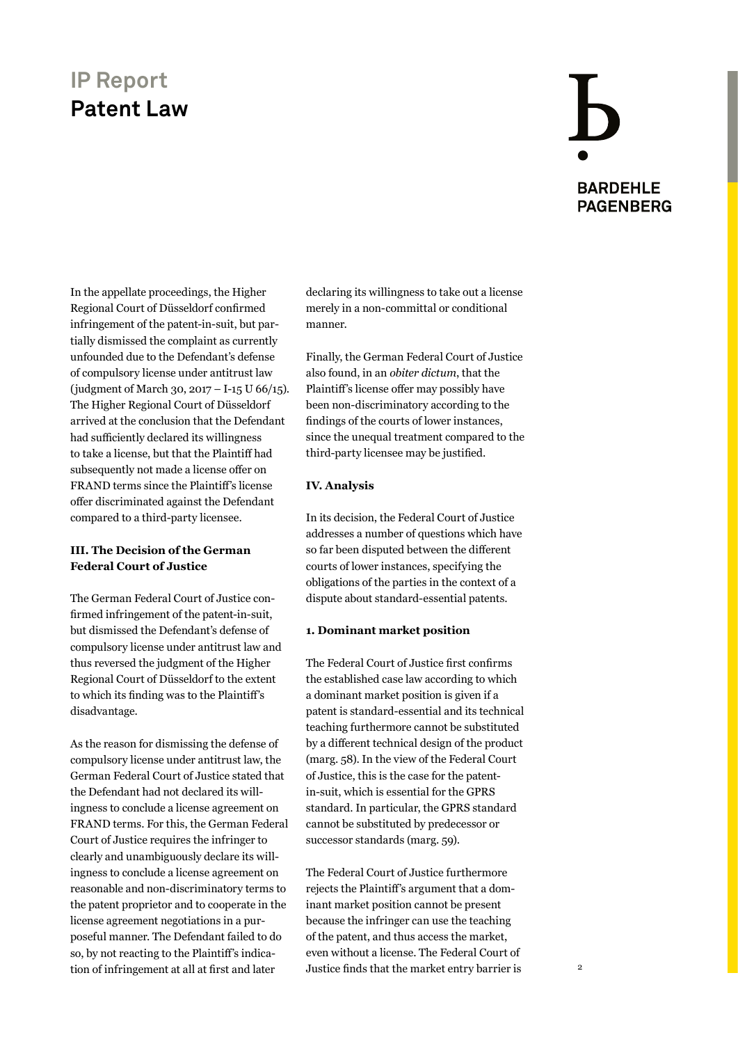# **BARDEHLE PAGENBERG**

In the appellate proceedings, the Higher Regional Court of Düsseldorf confirmed infringement of the patent-in-suit, but partially dismissed the complaint as currently unfounded due to the Defendant's defense of compulsory license under antitrust law (judgment of March 30, 2017 – I-15 U 66/15). The Higher Regional Court of Düsseldorf arrived at the conclusion that the Defendant had sufficiently declared its willingness to take a license, but that the Plaintiff had subsequently not made a license offer on FRAND terms since the Plaintiff's license offer discriminated against the Defendant compared to a third-party licensee.

#### **III. The Decision of the German Federal Court of Justice**

The German Federal Court of Justice confirmed infringement of the patent-in-suit, but dismissed the Defendant's defense of compulsory license under antitrust law and thus reversed the judgment of the Higher Regional Court of Düsseldorf to the extent to which its finding was to the Plaintiff's disadvantage.

As the reason for dismissing the defense of compulsory license under antitrust law, the German Federal Court of Justice stated that the Defendant had not declared its willingness to conclude a license agreement on FRAND terms. For this, the German Federal Court of Justice requires the infringer to clearly and unambiguously declare its willingness to conclude a license agreement on reasonable and non-discriminatory terms to the patent proprietor and to cooperate in the license agreement negotiations in a purposeful manner. The Defendant failed to do so, by not reacting to the Plaintiff's indication of infringement at all at first and later

declaring its willingness to take out a license merely in a non-committal or conditional manner.

Finally, the German Federal Court of Justice also found, in an *obiter dictum*, that the Plaintiff's license offer may possibly have been non-discriminatory according to the findings of the courts of lower instances, since the unequal treatment compared to the third-party licensee may be justified.

#### **IV. Analysis**

In its decision, the Federal Court of Justice addresses a number of questions which have so far been disputed between the different courts of lower instances, specifying the obligations of the parties in the context of a dispute about standard-essential patents.

#### **1. Dominant market position**

The Federal Court of Justice first confirms the established case law according to which a dominant market position is given if a patent is standard-essential and its technical teaching furthermore cannot be substituted by a different technical design of the product (marg. 58). In the view of the Federal Court of Justice, this is the case for the patentin-suit, which is essential for the GPRS standard. In particular, the GPRS standard cannot be substituted by predecessor or successor standards (marg. 59).

The Federal Court of Justice furthermore rejects the Plaintiff's argument that a dominant market position cannot be present because the infringer can use the teaching of the patent, and thus access the market, even without a license. The Federal Court of Justice finds that the market entry barrier is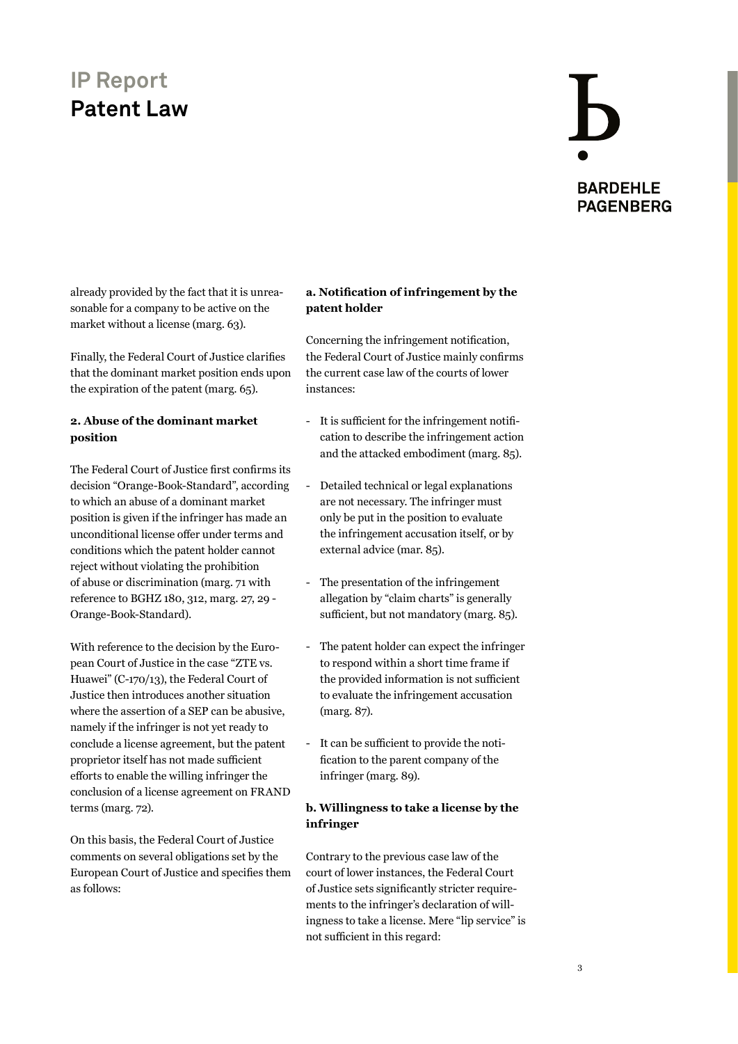## **BARDEHLE PAGENBERG**

already provided by the fact that it is unreasonable for a company to be active on the market without a license (marg. 63).

Finally, the Federal Court of Justice clarifies that the dominant market position ends upon the expiration of the patent (marg. 65).

#### **2. Abuse of the dominant market position**

The Federal Court of Justice first confirms its decision "Orange-Book-Standard", according to which an abuse of a dominant market position is given if the infringer has made an unconditional license offer under terms and conditions which the patent holder cannot reject without violating the prohibition of abuse or discrimination (marg. 71 with reference to BGHZ 180, 312, marg. 27, 29 - Orange-Book-Standard).

With reference to the decision by the European Court of Justice in the case "ZTE vs. Huawei" (C-170/13), the Federal Court of Justice then introduces another situation where the assertion of a SEP can be abusive, namely if the infringer is not yet ready to conclude a license agreement, but the patent proprietor itself has not made sufficient efforts to enable the willing infringer the conclusion of a license agreement on FRAND terms (marg. 72).

On this basis, the Federal Court of Justice comments on several obligations set by the European Court of Justice and specifies them as follows:

#### **a. Notification of infringement by the patent holder**

Concerning the infringement notification, the Federal Court of Justice mainly confirms the current case law of the courts of lower instances:

- It is sufficient for the infringement notification to describe the infringement action and the attacked embodiment (marg. 85).
- Detailed technical or legal explanations are not necessary. The infringer must only be put in the position to evaluate the infringement accusation itself, or by external advice (mar. 85).
- The presentation of the infringement allegation by "claim charts" is generally sufficient, but not mandatory (marg. 85).
- The patent holder can expect the infringer to respond within a short time frame if the provided information is not sufficient to evaluate the infringement accusation (marg. 87).
- It can be sufficient to provide the notification to the parent company of the infringer (marg. 89).

#### **b. Willingness to take a license by the infringer**

Contrary to the previous case law of the court of lower instances, the Federal Court of Justice sets significantly stricter requirements to the infringer's declaration of willingness to take a license. Mere "lip service" is not sufficient in this regard: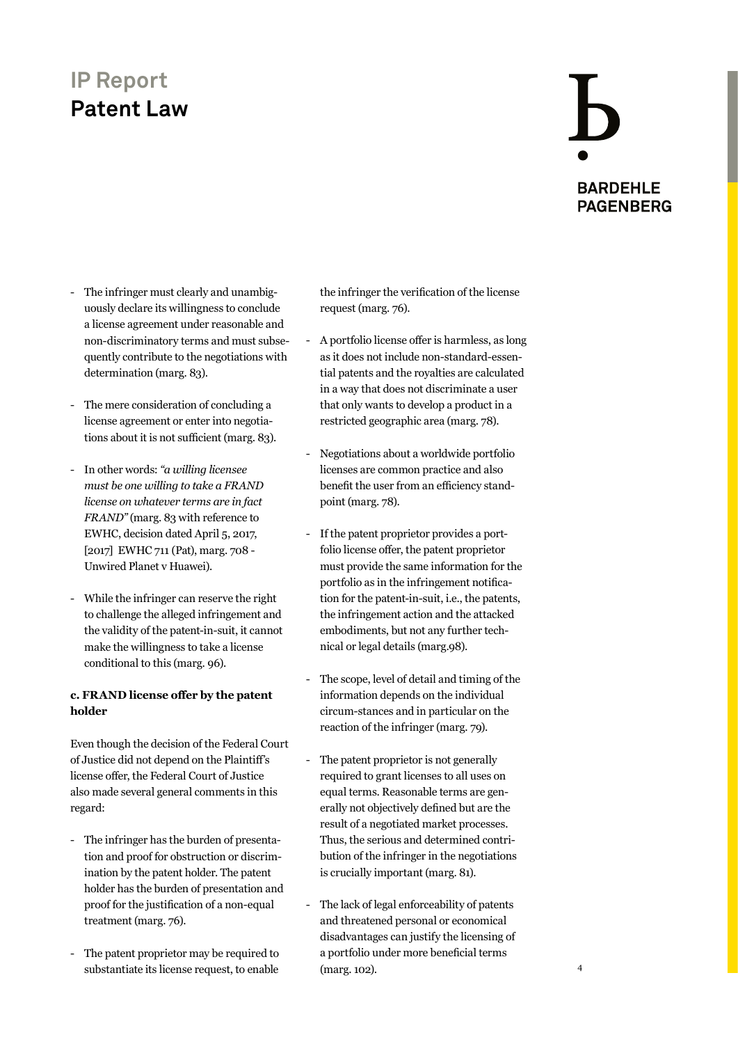## **BARDEHLE PAGENBERG**

- The infringer must clearly and unambiguously declare its willingness to conclude a license agreement under reasonable and non-discriminatory terms and must subsequently contribute to the negotiations with determination (marg. 83).
- The mere consideration of concluding a license agreement or enter into negotiations about it is not sufficient (marg. 83).
- In other words: *"a willing licensee must be one willing to take a FRAND license on whatever terms are in fact FRAND"* (marg. 83 with reference to EWHC, decision dated April 5, 2017, [2017] EWHC 711 (Pat), marg. 708 -Unwired Planet v Huawei).
- While the infringer can reserve the right to challenge the alleged infringement and the validity of the patent-in-suit, it cannot make the willingness to take a license conditional to this (marg. 96).

#### **c. FRAND license offer by the patent holder**

Even though the decision of the Federal Court of Justice did not depend on the Plaintiff's license offer, the Federal Court of Justice also made several general comments in this regard:

- The infringer has the burden of presentation and proof for obstruction or discrimination by the patent holder. The patent holder has the burden of presentation and proof for the justification of a non-equal treatment (marg. 76).
- The patent proprietor may be required to substantiate its license request, to enable

the infringer the verification of the license request (marg. 76).

- A portfolio license offer is harmless, as long as it does not include non-standard-essential patents and the royalties are calculated in a way that does not discriminate a user that only wants to develop a product in a restricted geographic area (marg. 78).
- Negotiations about a worldwide portfolio licenses are common practice and also benefit the user from an efficiency standpoint (marg. 78).
- If the patent proprietor provides a portfolio license offer, the patent proprietor must provide the same information for the portfolio as in the infringement notification for the patent-in-suit, i.e., the patents, the infringement action and the attacked embodiments, but not any further technical or legal details (marg.98).
- The scope, level of detail and timing of the information depends on the individual circum-stances and in particular on the reaction of the infringer (marg. 79).
- The patent proprietor is not generally required to grant licenses to all uses on equal terms. Reasonable terms are generally not objectively defined but are the result of a negotiated market processes. Thus, the serious and determined contribution of the infringer in the negotiations is crucially important (marg. 81).
- The lack of legal enforceability of patents and threatened personal or economical disadvantages can justify the licensing of a portfolio under more beneficial terms (marg. 102).

4